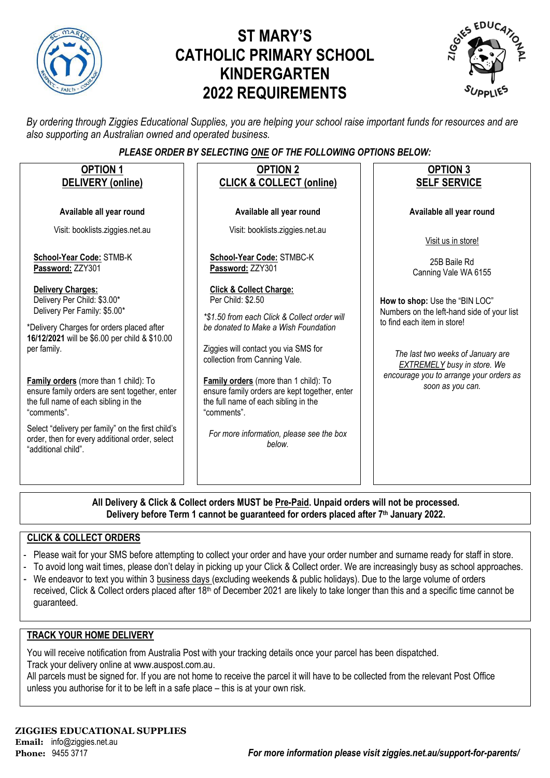

# **ST MARY'S CATHOLIC PRIMARY SCHOOL KINDERGARTEN 2022 REQUIREMENTS**



*By ordering through Ziggies Educational Supplies, you are helping your school raise important funds for resources and are also supporting an Australian owned and operated business.*

#### *PLEASE ORDER BY SELECTING ONE OF THE FOLLOWING OPTIONS BELOW:*

| <b>OPTION 1</b><br><b>DELIVERY</b> (online)                                                                                                                                                                                                                                                                                                           | <b>OPTION 2</b><br><b>CLICK &amp; COLLECT (online)</b>                                                                                                                                                                                                                                                                                                                    | <b>OPTION 3</b><br><b>SELF SERVICE</b>                                                                                                                                                                                                                |  |
|-------------------------------------------------------------------------------------------------------------------------------------------------------------------------------------------------------------------------------------------------------------------------------------------------------------------------------------------------------|---------------------------------------------------------------------------------------------------------------------------------------------------------------------------------------------------------------------------------------------------------------------------------------------------------------------------------------------------------------------------|-------------------------------------------------------------------------------------------------------------------------------------------------------------------------------------------------------------------------------------------------------|--|
| Available all year round                                                                                                                                                                                                                                                                                                                              | Available all year round                                                                                                                                                                                                                                                                                                                                                  | Available all year round                                                                                                                                                                                                                              |  |
| Visit: booklists.ziggies.net.au                                                                                                                                                                                                                                                                                                                       | Visit: booklists.ziggies.net.au                                                                                                                                                                                                                                                                                                                                           | Visit us in store!                                                                                                                                                                                                                                    |  |
| School-Year Code: STMB-K<br>Password: ZZY301                                                                                                                                                                                                                                                                                                          | School-Year Code: STMBC-K<br>Password: ZZY301                                                                                                                                                                                                                                                                                                                             | 25B Baile Rd<br>Canning Vale WA 6155                                                                                                                                                                                                                  |  |
| <b>Delivery Charges:</b><br>Delivery Per Child: \$3.00*<br>Delivery Per Family: \$5.00*<br>*Delivery Charges for orders placed after<br>16/12/2021 will be \$6.00 per child & \$10.00<br>per family.<br>Family orders (more than 1 child): To<br>ensure family orders are sent together, enter<br>the full name of each sibling in the<br>"comments". | <b>Click &amp; Collect Charge:</b><br>Per Child: \$2.50<br>*\$1.50 from each Click & Collect order will<br>be donated to Make a Wish Foundation<br>Ziggies will contact you via SMS for<br>collection from Canning Vale.<br>Family orders (more than 1 child): To<br>ensure family orders are kept together, enter<br>the full name of each sibling in the<br>"comments". | How to shop: Use the "BIN LOC"<br>Numbers on the left-hand side of your list<br>to find each item in store!<br>The last two weeks of January are<br><b>EXTREMELY</b> busy in store. We<br>encourage you to arrange your orders as<br>soon as you can. |  |
| Select "delivery per family" on the first child's<br>order, then for every additional order, select<br>"additional child".                                                                                                                                                                                                                            | For more information, please see the box<br>helow.                                                                                                                                                                                                                                                                                                                        |                                                                                                                                                                                                                                                       |  |
|                                                                                                                                                                                                                                                                                                                                                       |                                                                                                                                                                                                                                                                                                                                                                           |                                                                                                                                                                                                                                                       |  |

**All Delivery & Click & Collect orders MUST be Pre-Paid. Unpaid orders will not be processed. Delivery before Term 1 cannot be guaranteed for orders placed after 7th January 2022.**

#### **CLICK & COLLECT ORDERS**

- Please wait for your SMS before attempting to collect your order and have your order number and surname ready for staff in store.
- To avoid long wait times, please don't delay in picking up your Click & Collect order. We are increasingly busy as school approaches.
- We endeavor to text you within 3 business days (excluding weekends & public holidays). Due to the large volume of orders received, Click & Collect orders placed after 18<sup>th</sup> of December 2021 are likely to take longer than this and a specific time cannot be guaranteed.

#### **TRACK YOUR HOME DELIVERY**

You will receive notification from Australia Post with your tracking details once your parcel has been dispatched. Track your delivery online a[t www.auspost.com.au.](http://www.auspost.com.au/)

All parcels must be signed for. If you are not home to receive the parcel it will have to be collected from the relevant Post Office unless you authorise for it to be left in a safe place – this is at your own risk.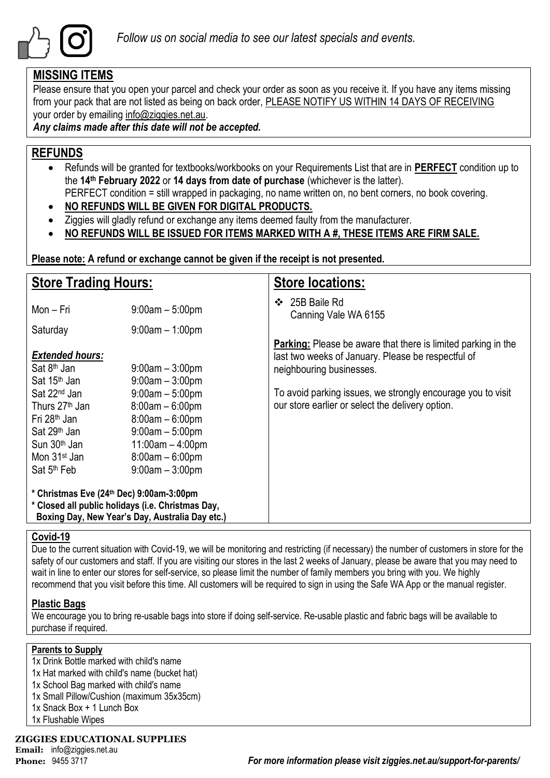

### **MISSING ITEMS**

Please ensure that you open your parcel and check your order as soon as you receive it. If you have any items missing from your pack that are not listed as being on back order, PLEASE NOTIFY US WITHIN 14 DAYS OF RECEIVING your order by emailing info@ziggies.net.au.

*Any claims made after this date will not be accepted.*

### **REFUNDS**

- Refunds will be granted for textbooks/workbooks on your Requirements List that are in **PERFECT** condition up to the **14th February 2022** or **14 days from date of purchase** (whichever is the latter). PERFECT condition = still wrapped in packaging, no name written on, no bent corners, no book covering.
- **NO REFUNDS WILL BE GIVEN FOR DIGITAL PRODUCTS.**
- Ziggies will gladly refund or exchange any items deemed faulty from the manufacturer.
- **NO REFUNDS WILL BE ISSUED FOR ITEMS MARKED WITH A #, THESE ITEMS ARE FIRM SALE.**

**Please note: A refund or exchange cannot be given if the receipt is not presented.**

| <b>Store Trading Hours:</b>                                                                                                                                                                       |                                                                                                                                                  | <b>Store locations:</b>                                                                                                                                |  |  |  |  |
|---------------------------------------------------------------------------------------------------------------------------------------------------------------------------------------------------|--------------------------------------------------------------------------------------------------------------------------------------------------|--------------------------------------------------------------------------------------------------------------------------------------------------------|--|--|--|--|
| Mon - Fri                                                                                                                                                                                         | $9:00am - 5:00pm$                                                                                                                                | 25B Baile Rd<br>❖<br>Canning Vale WA 6155                                                                                                              |  |  |  |  |
| Saturday                                                                                                                                                                                          | $9:00am - 1:00pm$                                                                                                                                |                                                                                                                                                        |  |  |  |  |
| <b>Extended hours:</b><br>Sat 8 <sup>th</sup> Jan<br>Sat 15 <sup>th</sup> Jan                                                                                                                     | $9:00$ am $-3:00$ pm<br>$9:00am - 3:00pm$                                                                                                        | <b>Parking:</b> Please be aware that there is limited parking in the<br>last two weeks of January. Please be respectful of<br>neighbouring businesses. |  |  |  |  |
| Sat 22 <sup>nd</sup> Jan<br>Thurs 27 <sup>th</sup> Jan<br>Fri 28 <sup>th</sup> Jan<br>Sat 29 <sup>th</sup> Jan<br>Sun 30 <sup>th</sup> Jan<br>Mon 31 <sup>st</sup> Jan<br>Sat 5 <sup>th</sup> Feb | $9:00am - 5:00pm$<br>$8:00am - 6:00pm$<br>$8:00am - 6:00pm$<br>$9:00am - 5:00pm$<br>$11:00am - 4:00pm$<br>$8:00am - 6:00pm$<br>$9:00am - 3:00pm$ | To avoid parking issues, we strongly encourage you to visit<br>our store earlier or select the delivery option.                                        |  |  |  |  |
| * Christmas Eve (24th Dec) 9:00am-3:00pm<br>* Closed all public holidays (i.e. Christmas Day,<br>Boxing Day, New Year's Day, Australia Day etc.)                                                  |                                                                                                                                                  |                                                                                                                                                        |  |  |  |  |

#### **Covid-19**

Due to the current situation with Covid-19, we will be monitoring and restricting (if necessary) the number of customers in store for the safety of our customers and staff. If you are visiting our stores in the last 2 weeks of January, please be aware that you may need to wait in line to enter our stores for self-service, so please limit the number of family members you bring with you. We highly recommend that you visit before this time. All customers will be required to sign in using the Safe WA App or the manual register.

#### **Plastic Bags**

We encourage you to bring re-usable bags into store if doing self-service. Re-usable plastic and fabric bags will be available to purchase if required.

#### **Parents to Supply**

1x Drink Bottle marked with child's name

- 1x Hat marked with child's name (bucket hat)
- 1x School Bag marked with child's name
- 1x Small Pillow/Cushion (maximum 35x35cm)
- 1x Snack Box + 1 Lunch Box
- 1x Flushable Wipes

#### **ZIGGIES EDUCATIONAL SUPPLIES**

**Email:** info@ziggies.net.au